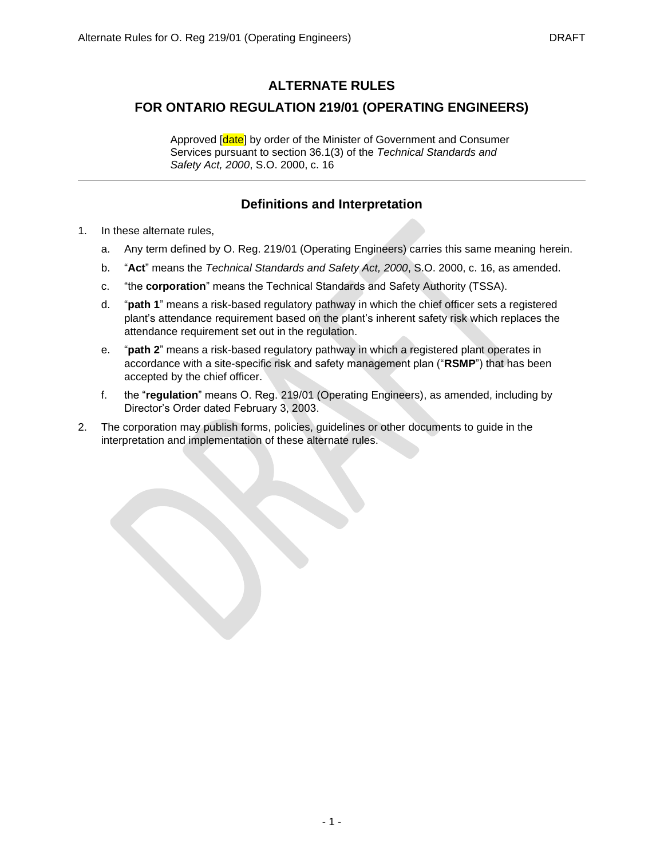# **ALTERNATE RULES**

## **FOR ONTARIO REGULATION 219/01 (OPERATING ENGINEERS)**

Approved [date] by order of the Minister of Government and Consumer Services pursuant to section 36.1(3) of the *Technical Standards and Safety Act, 2000*, S.O. 2000, c. 16

# **Definitions and Interpretation**

- 1. In these alternate rules,
	- a. Any term defined by O. Reg. 219/01 (Operating Engineers) carries this same meaning herein.
	- b. "**Act**" means the *Technical Standards and Safety Act, 2000*, S.O. 2000, c. 16, as amended.
	- c. "the **corporation**" means the Technical Standards and Safety Authority (TSSA).
	- d. "**path 1**" means a risk-based regulatory pathway in which the chief officer sets a registered plant's attendance requirement based on the plant's inherent safety risk which replaces the attendance requirement set out in the regulation.
	- e. "**path 2**" means a risk-based regulatory pathway in which a registered plant operates in accordance with a site-specific risk and safety management plan ("**RSMP**") that has been accepted by the chief officer.
	- f. the "**regulation**" means O. Reg. 219/01 (Operating Engineers), as amended, including by Director's Order dated February 3, 2003.
- 2. The corporation may publish forms, policies, guidelines or other documents to guide in the interpretation and implementation of these alternate rules.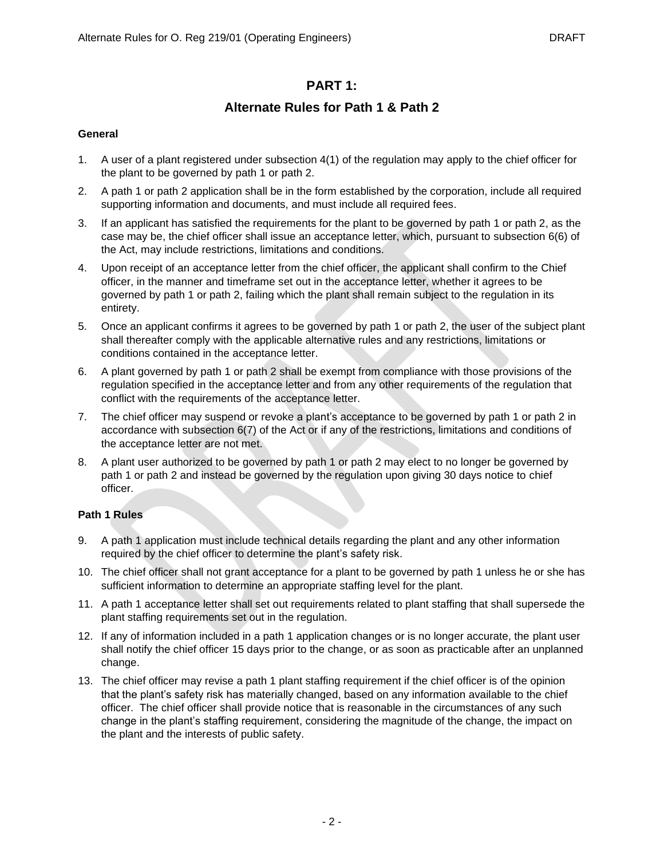## **PART 1:**

## **Alternate Rules for Path 1 & Path 2**

## **General**

- 1. A user of a plant registered under subsection 4(1) of the regulation may apply to the chief officer for the plant to be governed by path 1 or path 2.
- 2. A path 1 or path 2 application shall be in the form established by the corporation, include all required supporting information and documents, and must include all required fees.
- 3. If an applicant has satisfied the requirements for the plant to be governed by path 1 or path 2, as the case may be, the chief officer shall issue an acceptance letter, which, pursuant to subsection 6(6) of the Act, may include restrictions, limitations and conditions.
- 4. Upon receipt of an acceptance letter from the chief officer, the applicant shall confirm to the Chief officer, in the manner and timeframe set out in the acceptance letter, whether it agrees to be governed by path 1 or path 2, failing which the plant shall remain subject to the regulation in its entirety.
- 5. Once an applicant confirms it agrees to be governed by path 1 or path 2, the user of the subject plant shall thereafter comply with the applicable alternative rules and any restrictions, limitations or conditions contained in the acceptance letter.
- 6. A plant governed by path 1 or path 2 shall be exempt from compliance with those provisions of the regulation specified in the acceptance letter and from any other requirements of the regulation that conflict with the requirements of the acceptance letter.
- 7. The chief officer may suspend or revoke a plant's acceptance to be governed by path 1 or path 2 in accordance with subsection 6(7) of the Act or if any of the restrictions, limitations and conditions of the acceptance letter are not met.
- 8. A plant user authorized to be governed by path 1 or path 2 may elect to no longer be governed by path 1 or path 2 and instead be governed by the regulation upon giving 30 days notice to chief officer.

## **Path 1 Rules**

- 9. A path 1 application must include technical details regarding the plant and any other information required by the chief officer to determine the plant's safety risk.
- 10. The chief officer shall not grant acceptance for a plant to be governed by path 1 unless he or she has sufficient information to determine an appropriate staffing level for the plant.
- 11. A path 1 acceptance letter shall set out requirements related to plant staffing that shall supersede the plant staffing requirements set out in the regulation.
- 12. If any of information included in a path 1 application changes or is no longer accurate, the plant user shall notify the chief officer 15 days prior to the change, or as soon as practicable after an unplanned change.
- 13. The chief officer may revise a path 1 plant staffing requirement if the chief officer is of the opinion that the plant's safety risk has materially changed, based on any information available to the chief officer. The chief officer shall provide notice that is reasonable in the circumstances of any such change in the plant's staffing requirement, considering the magnitude of the change, the impact on the plant and the interests of public safety.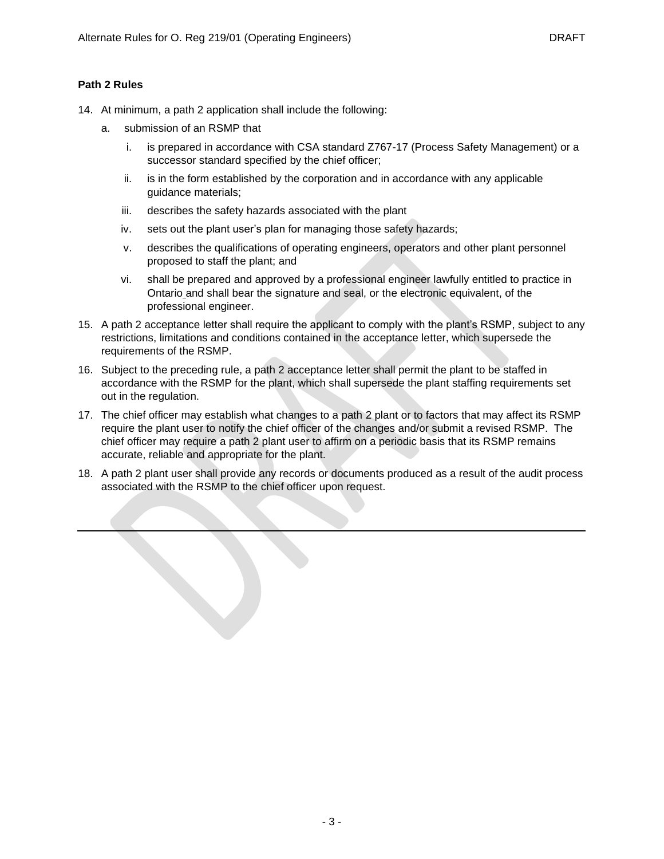## **Path 2 Rules**

- 14. At minimum, a path 2 application shall include the following:
	- a. submission of an RSMP that
		- i. is prepared in accordance with CSA standard Z767-17 (Process Safety Management) or a successor standard specified by the chief officer;
		- ii. is in the form established by the corporation and in accordance with any applicable guidance materials;
		- iii. describes the safety hazards associated with the plant
		- iv. sets out the plant user's plan for managing those safety hazards;
		- v. describes the qualifications of operating engineers, operators and other plant personnel proposed to staff the plant; and
		- vi. shall be prepared and approved by a professional engineer lawfully entitled to practice in Ontario and shall bear the signature and seal, or the electronic equivalent, of the professional engineer.
- 15. A path 2 acceptance letter shall require the applicant to comply with the plant's RSMP, subject to any restrictions, limitations and conditions contained in the acceptance letter, which supersede the requirements of the RSMP.
- 16. Subject to the preceding rule, a path 2 acceptance letter shall permit the plant to be staffed in accordance with the RSMP for the plant, which shall supersede the plant staffing requirements set out in the regulation.
- 17. The chief officer may establish what changes to a path 2 plant or to factors that may affect its RSMP require the plant user to notify the chief officer of the changes and/or submit a revised RSMP. The chief officer may require a path 2 plant user to affirm on a periodic basis that its RSMP remains accurate, reliable and appropriate for the plant.
- 18. A path 2 plant user shall provide any records or documents produced as a result of the audit process associated with the RSMP to the chief officer upon request.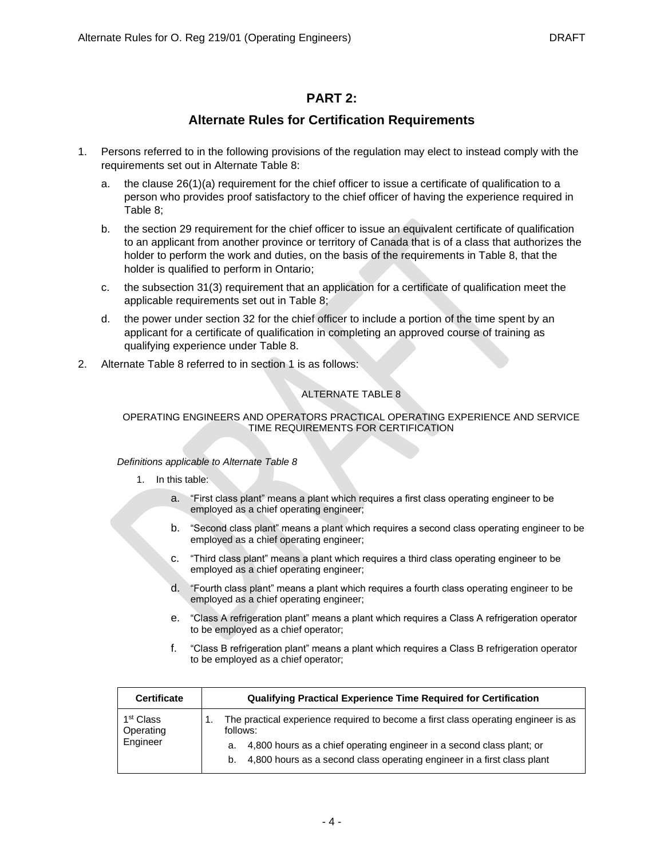# **PART 2:**

# **Alternate Rules for Certification Requirements**

- 1. Persons referred to in the following provisions of the regulation may elect to instead comply with the requirements set out in Alternate Table 8:
	- a. the clause 26(1)(a) requirement for the chief officer to issue a certificate of qualification to a person who provides proof satisfactory to the chief officer of having the experience required in Table 8;
	- b. the section 29 requirement for the chief officer to issue an equivalent certificate of qualification to an applicant from another province or territory of Canada that is of a class that authorizes the holder to perform the work and duties, on the basis of the requirements in Table 8, that the holder is qualified to perform in Ontario;
	- c. the subsection 31(3) requirement that an application for a certificate of qualification meet the applicable requirements set out in Table 8;
	- d. the power under section 32 for the chief officer to include a portion of the time spent by an applicant for a certificate of qualification in completing an approved course of training as qualifying experience under Table 8.
- 2. Alternate Table 8 referred to in section 1 is as follows:

## ALTERNATE TABLE 8

## OPERATING ENGINEERS AND OPERATORS PRACTICAL OPERATING EXPERIENCE AND SERVICE TIME REQUIREMENTS FOR CERTIFICATION

### *Definitions applicable to Alternate Table 8*

- 1. In this table:
	- a. "First class plant" means a plant which requires a first class operating engineer to be employed as a chief operating engineer;
	- b. "Second class plant" means a plant which requires a second class operating engineer to be employed as a chief operating engineer;
	- c. "Third class plant" means a plant which requires a third class operating engineer to be employed as a chief operating engineer;
	- d. "Fourth class plant" means a plant which requires a fourth class operating engineer to be employed as a chief operating engineer;
	- e. "Class A refrigeration plant" means a plant which requires a Class A refrigeration operator to be employed as a chief operator;
	- f. "Class B refrigeration plant" means a plant which requires a Class B refrigeration operator to be employed as a chief operator;

| <b>Certificate</b>                             | Qualifying Practical Experience Time Required for Certification                                |
|------------------------------------------------|------------------------------------------------------------------------------------------------|
| 1 <sup>st</sup> Class<br>Operating<br>Engineer | The practical experience required to become a first class operating engineer is as<br>follows: |
|                                                | 4,800 hours as a chief operating engineer in a second class plant; or<br>а.                    |
|                                                | 4,800 hours as a second class operating engineer in a first class plant<br>b.                  |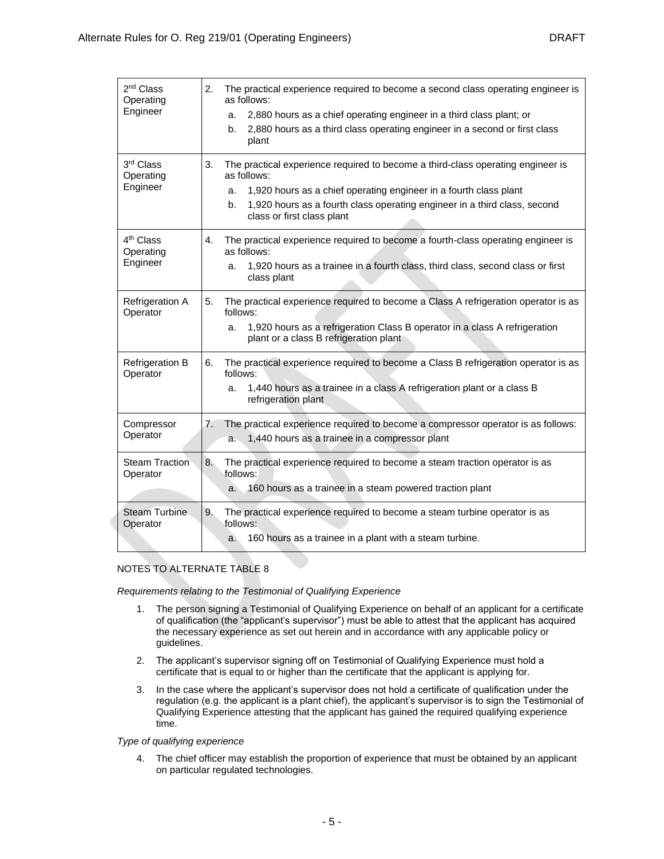| 2 <sup>nd</sup> Class<br>Operating<br>Engineer | 2.<br>The practical experience required to become a second class operating engineer is<br>as follows:<br>2,880 hours as a chief operating engineer in a third class plant; or<br>a.                                                                                                              |
|------------------------------------------------|--------------------------------------------------------------------------------------------------------------------------------------------------------------------------------------------------------------------------------------------------------------------------------------------------|
|                                                | 2,880 hours as a third class operating engineer in a second or first class<br>b.<br>plant                                                                                                                                                                                                        |
| 3rd Class<br>Operating<br>Engineer             | The practical experience required to become a third-class operating engineer is<br>3.<br>as follows:<br>1,920 hours as a chief operating engineer in a fourth class plant<br>a.<br>1,920 hours as a fourth class operating engineer in a third class, second<br>b.<br>class or first class plant |
| 4 <sup>th</sup> Class<br>Operating<br>Engineer | The practical experience required to become a fourth-class operating engineer is<br>4.<br>as follows:<br>1,920 hours as a trainee in a fourth class, third class, second class or first<br>a.<br>class plant                                                                                     |
| <b>Refrigeration A</b><br>Operator             | The practical experience required to become a Class A refrigeration operator is as<br>5.<br>follows:<br>1,920 hours as a refrigeration Class B operator in a class A refrigeration<br>a.<br>plant or a class B refrigeration plant                                                               |
| Refrigeration B<br>Operator                    | The practical experience required to become a Class B refrigeration operator is as<br>6.<br>follows:<br>1,440 hours as a trainee in a class A refrigeration plant or a class B<br>a.<br>refrigeration plant                                                                                      |
| Compressor<br>Operator                         | The practical experience required to become a compressor operator is as follows:<br>7.<br>1,440 hours as a trainee in a compressor plant<br>a.                                                                                                                                                   |
| <b>Steam Traction</b><br>Operator              | 8.<br>The practical experience required to become a steam traction operator is as<br>follows:<br>160 hours as a trainee in a steam powered traction plant<br>$a_{-}$                                                                                                                             |
| <b>Steam Turbine</b><br>Operator               | 9.<br>The practical experience required to become a steam turbine operator is as<br>follows:<br>160 hours as a trainee in a plant with a steam turbine.<br>a.                                                                                                                                    |

## NOTES TO ALTERNATE TABLE 8

*Requirements relating to the Testimonial of Qualifying Experience*

- 1. The person signing a Testimonial of Qualifying Experience on behalf of an applicant for a certificate of qualification (the "applicant's supervisor") must be able to attest that the applicant has acquired the necessary experience as set out herein and in accordance with any applicable policy or guidelines.
- 2. The applicant's supervisor signing off on Testimonial of Qualifying Experience must hold a certificate that is equal to or higher than the certificate that the applicant is applying for.
- 3. In the case where the applicant's supervisor does not hold a certificate of qualification under the regulation (e.g. the applicant is a plant chief), the applicant's supervisor is to sign the Testimonial of Qualifying Experience attesting that the applicant has gained the required qualifying experience time.

### *Type of qualifying experience*

4. The chief officer may establish the proportion of experience that must be obtained by an applicant on particular regulated technologies.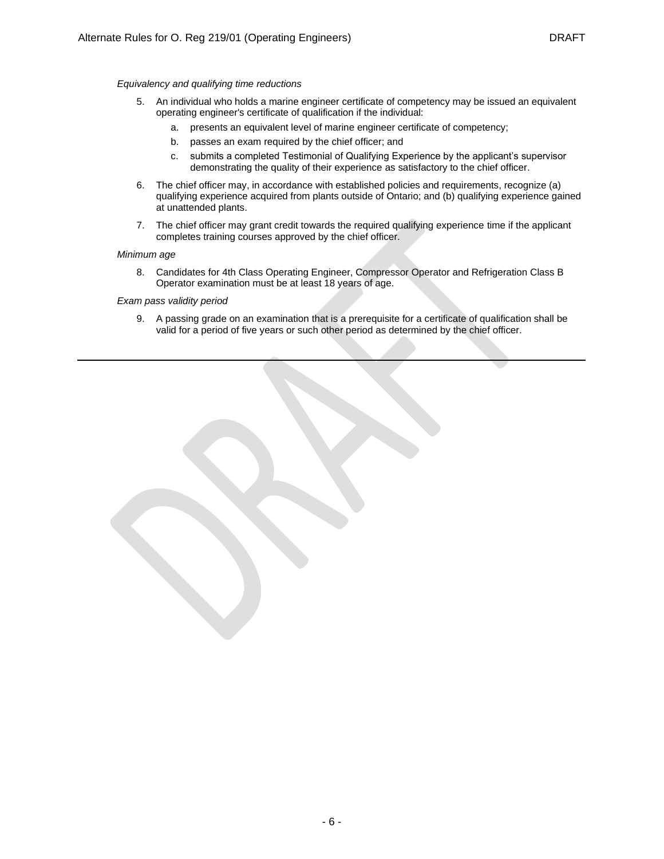#### *Equivalency and qualifying time reductions*

- 5. An individual who holds a marine engineer certificate of competency may be issued an equivalent operating engineer's certificate of qualification if the individual:
	- a. presents an equivalent level of marine engineer certificate of competency;
	- b. passes an exam required by the chief officer; and
	- c. submits a completed Testimonial of Qualifying Experience by the applicant's supervisor demonstrating the quality of their experience as satisfactory to the chief officer.
- 6. The chief officer may, in accordance with established policies and requirements, recognize (a) qualifying experience acquired from plants outside of Ontario; and (b) qualifying experience gained at unattended plants.
- 7. The chief officer may grant credit towards the required qualifying experience time if the applicant completes training courses approved by the chief officer.

#### *Minimum age*

8. Candidates for 4th Class Operating Engineer, Compressor Operator and Refrigeration Class B Operator examination must be at least 18 years of age.

#### *Exam pass validity period*

9. A passing grade on an examination that is a prerequisite for a certificate of qualification shall be valid for a period of five years or such other period as determined by the chief officer.